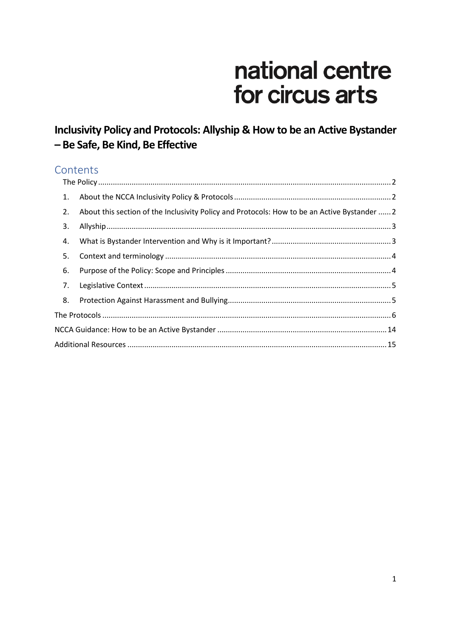# national centre for circus arts

## Inclusivity Policy and Protocols: Allyship & How to be an Active Bystander - Be Safe, Be Kind, Be Effective

## Contents

| 1. |                                                                                              |  |  |  |  |
|----|----------------------------------------------------------------------------------------------|--|--|--|--|
| 2. | About this section of the Inclusivity Policy and Protocols: How to be an Active Bystander  2 |  |  |  |  |
| 3. |                                                                                              |  |  |  |  |
| 4. |                                                                                              |  |  |  |  |
| 5. |                                                                                              |  |  |  |  |
| 6. |                                                                                              |  |  |  |  |
| 7. |                                                                                              |  |  |  |  |
| 8. |                                                                                              |  |  |  |  |
|    |                                                                                              |  |  |  |  |
|    |                                                                                              |  |  |  |  |
|    |                                                                                              |  |  |  |  |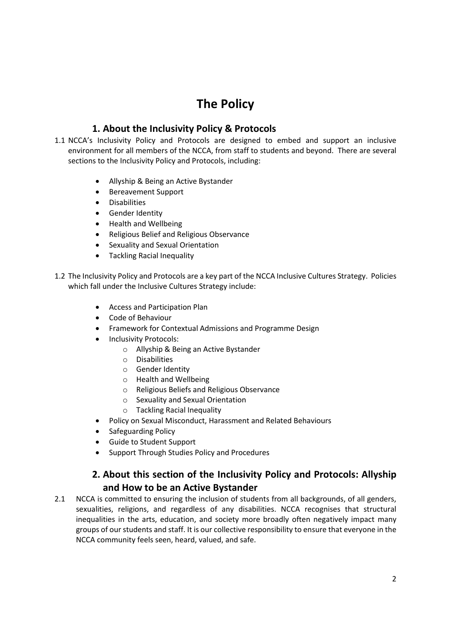## **The Policy**

#### **1. About the Inclusivity Policy & Protocols**

- <span id="page-1-1"></span><span id="page-1-0"></span>1.1 NCCA's Inclusivity Policy and Protocols are designed to embed and support an inclusive environment for all members of the NCCA, from staff to students and beyond. There are several sections to the Inclusivity Policy and Protocols, including:
	- Allyship & Being an Active Bystander
	- Bereavement Support
	- **•** Disabilities
	- **•** Gender Identity
	- Health and Wellbeing
	- Religious Belief and Religious Observance
	- Sexuality and Sexual Orientation
	- Tackling Racial Inequality
- 1.2 The Inclusivity Policy and Protocols are a key part of the NCCA Inclusive Cultures Strategy. Policies which fall under the Inclusive Cultures Strategy include:
	- Access and Participation Plan
	- Code of Behaviour
	- Framework for Contextual Admissions and Programme Design
	- Inclusivity Protocols:
		- o Allyship & Being an Active Bystander
		- o Disabilities
		- o Gender Identity
		- o Health and Wellbeing
		- o Religious Beliefs and Religious Observance
		- o Sexuality and Sexual Orientation
		- o Tackling Racial Inequality
	- Policy on Sexual Misconduct, Harassment and Related Behaviours
	- Safeguarding Policy
	- Guide to Student Support
	- Support Through Studies Policy and Procedures

#### **2. About this section of the Inclusivity Policy and Protocols: Allyship and How to be an Active Bystander**

<span id="page-1-2"></span>2.1 NCCA is committed to ensuring the inclusion of students from all backgrounds, of all genders, sexualities, religions, and regardless of any disabilities. NCCA recognises that structural inequalities in the arts, education, and society more broadly often negatively impact many groups of our students and staff. It is our collective responsibility to ensure that everyone in the NCCA community feels seen, heard, valued, and safe.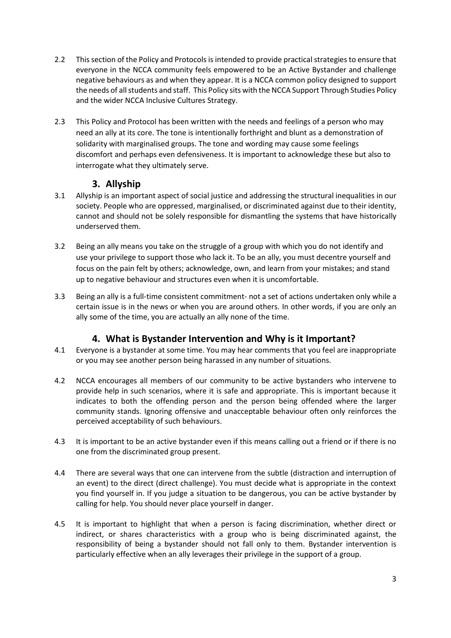- 2.2 This section of the Policy and Protocols is intended to provide practical strategies to ensure that everyone in the NCCA community feels empowered to be an Active Bystander and challenge negative behaviours as and when they appear. It is a NCCA common policy designed to support the needs of all students and staff. This Policy sits with the NCCA Support Through Studies Policy and the wider NCCA Inclusive Cultures Strategy.
- 2.3 This Policy and Protocol has been written with the needs and feelings of a person who may need an ally at its core. The tone is intentionally forthright and blunt as a demonstration of solidarity with marginalised groups. The tone and wording may cause some feelings discomfort and perhaps even defensiveness. It is important to acknowledge these but also to interrogate what they ultimately serve.

#### **3. Allyship**

- <span id="page-2-0"></span>3.1 Allyship is an important aspect of social justice and addressing the structural inequalities in our society. People who are oppressed, marginalised, or discriminated against due to their identity, cannot and should not be solely responsible for dismantling the systems that have historically underserved them.
- 3.2 Being an ally means you take on the struggle of a group with which you do not identify and use your privilege to support those who lack it. To be an ally, you must decentre yourself and focus on the pain felt by others; acknowledge, own, and learn from your mistakes; and stand up to negative behaviour and structures even when it is uncomfortable.
- 3.3 Being an ally is a full-time consistent commitment- not a set of actions undertaken only while a certain issue is in the news or when you are around others. In other words, if you are only an ally some of the time, you are actually an ally none of the time.

### **4. What is Bystander Intervention and Why is it Important?**

- <span id="page-2-1"></span>4.1 Everyone is a bystander at some time. You may hear comments that you feel are inappropriate or you may see another person being harassed in any number of situations.
- 4.2 NCCA encourages all members of our community to be active bystanders who intervene to provide help in such scenarios, where it is safe and appropriate. This is important because it indicates to both the offending person and the person being offended where the larger community stands. Ignoring offensive and unacceptable behaviour often only reinforces the perceived acceptability of such behaviours.
- 4.3 It is important to be an active bystander even if this means calling out a friend or if there is no one from the discriminated group present.
- 4.4 There are several ways that one can intervene from the subtle (distraction and interruption of an event) to the direct (direct challenge). You must decide what is appropriate in the context you find yourself in. If you judge a situation to be dangerous, you can be active bystander by calling for help. You should never place yourself in danger.
- 4.5 It is important to highlight that when a person is facing discrimination, whether direct or indirect, or shares characteristics with a group who is being discriminated against, the responsibility of being a bystander should not fall only to them. Bystander intervention is particularly effective when an ally leverages their privilege in the support of a group.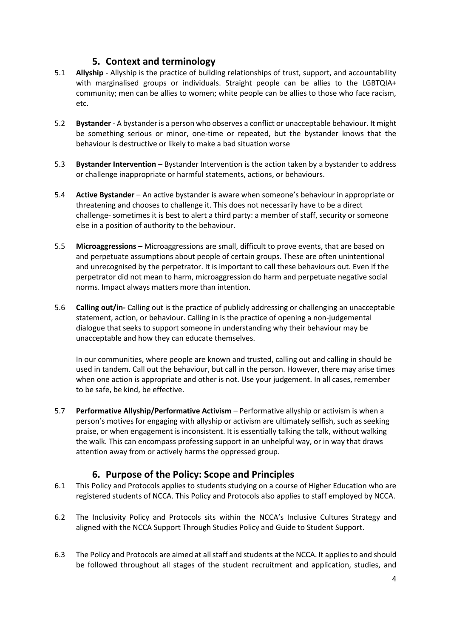#### **5. Context and terminology**

- <span id="page-3-0"></span>5.1 **Allyship** - Allyship is the practice of building relationships of trust, support, and accountability with marginalised groups or individuals. Straight people can be allies to the LGBTQIA+ community; men can be allies to women; white people can be allies to those who face racism, etc.
- 5.2 **Bystander**  A bystander is a person who observes a conflict or unacceptable behaviour. It might be something serious or minor, one-time or repeated, but the bystander knows that the behaviour is destructive or likely to make a bad situation worse
- 5.3 **Bystander Intervention** Bystander Intervention is the action taken by a bystander to address or challenge inappropriate or harmful statements, actions, or behaviours.
- 5.4 **Active Bystander** An active bystander is aware when someone's behaviour in appropriate or threatening and chooses to challenge it. This does not necessarily have to be a direct challenge- sometimes it is best to alert a third party: a member of staff, security or someone else in a position of authority to the behaviour.
- 5.5 **Microaggressions**  Microaggressions are small, difficult to prove events, that are based on and perpetuate assumptions about people of certain groups. These are often unintentional and unrecognised by the perpetrator. It is important to call these behaviours out. Even if the perpetrator did not mean to harm, microaggression do harm and perpetuate negative social norms. Impact always matters more than intention.
- 5.6 **Calling out/in-** Calling out is the practice of publicly addressing or challenging an unacceptable statement, action, or behaviour. Calling in is the practice of opening a non-judgemental dialogue that seeks to support someone in understanding why their behaviour may be unacceptable and how they can educate themselves.

In our communities, where people are known and trusted, calling out and calling in should be used in tandem. Call out the behaviour, but call in the person. However, there may arise times when one action is appropriate and other is not. Use your judgement. In all cases, remember to be safe, be kind, be effective.

5.7 **Performative Allyship/Performative Activism** – Performative allyship or activism is when a person's motives for engaging with allyship or activism are ultimately selfish, such as seeking praise, or when engagement is inconsistent. It is essentially talking the talk, without walking the walk. This can encompass professing support in an unhelpful way, or in way that draws attention away from or actively harms the oppressed group.

#### **6. Purpose of the Policy: Scope and Principles**

- <span id="page-3-1"></span>6.1 This Policy and Protocols applies to students studying on a course of Higher Education who are registered students of NCCA. This Policy and Protocols also applies to staff employed by NCCA.
- 6.2 The Inclusivity Policy and Protocols sits within the NCCA's Inclusive Cultures Strategy and aligned with the NCCA Support Through Studies Policy and Guide to Student Support.
- 6.3 The Policy and Protocols are aimed at all staff and students at the NCCA. It applies to and should be followed throughout all stages of the student recruitment and application, studies, and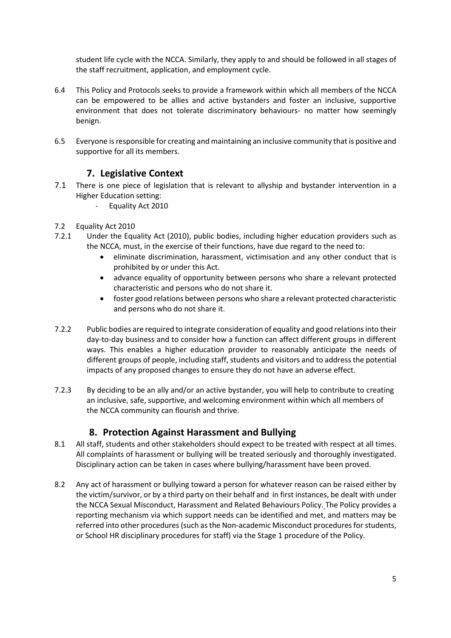student life cycle with the NCCA. Similarly, they apply to and should be followed in all stages of the staff recruitment, application, and employment cycle.

- 6.4 This Policy and Protocols seeks to provide a framework within which all members of the NCCA can be empowered to be allies and active bystanders and foster an inclusive, supportive environment that does not tolerate discriminatory behaviours- no matter how seemingly benign.
- 6.5 Everyone is responsible for creating and maintaining an inclusive community that is positive and supportive for all its members.

#### **7. Legislative Context**

- <span id="page-4-0"></span>7.1 There is one piece of legislation that is relevant to allyship and bystander intervention in a Higher Education setting:
	- Equality Act 2010
- 7.2 Equality Act 2010
- 7.2.1 Under the Equality Act (2010), public bodies, including higher education providers such as the NCCA, must, in the exercise of their functions, have due regard to the need to:
	- eliminate discrimination, harassment, victimisation and any other conduct that is prohibited by or under this Act.
	- advance equality of opportunity between persons who share a relevant protected characteristic and persons who do not share it.
	- foster good relations between persons who share a relevant protected characteristic and persons who do not share it.
- 7.2.2 Public bodies are required to integrate consideration of equality and good relations into their day-to-day business and to consider how a function can affect different groups in different ways. This enables a higher education provider to reasonably anticipate the needs of different groups of people, including staff, students and visitors and to address the potential impacts of any proposed changes to ensure they do not have an adverse effect.
- 7.2.3 By deciding to be an ally and/or an active bystander, you will help to contribute to creating an inclusive, safe, supportive, and welcoming environment within which all members of the NCCA community can flourish and thrive.

#### **8. Protection Against Harassment and Bullying**

- <span id="page-4-1"></span>8.1 All staff, students and other stakeholders should expect to be treated with respect at all times. All complaints of harassment or bullying will be treated seriously and thoroughly investigated. Disciplinary action can be taken in cases where bullying/harassment have been proved.
- 8.2 Any act of harassment or bullying toward a person for whatever reason can be raised either by the victim/survivor, or by a third party on their behalf and in first instances, be dealt with under the NCCA Sexual Misconduct, Harassment and Related Behaviours Policy. The Policy provides a reporting mechanism via which support needs can be identified and met, and matters may be referred into other procedures (such as the Non-academic Misconduct procedures forstudents, or School HR disciplinary procedures for staff) via the Stage 1 procedure of the Policy.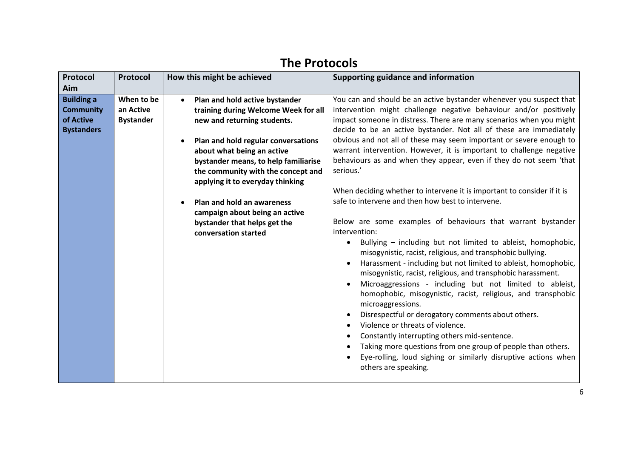<span id="page-5-0"></span>

| Protocol<br>Aim                                                         | Protocol                                    | How this might be achieved                                                                                                                                                                                                                                                                                                                                                                                           | Supporting guidance and information                                                                                                                                                                                                                                                                                                                                                                                                                                                                                                                                                                                                                                                                                                                                                                                                                                                                                                                                                                                                                                                                                                                                                                                                                                                                                                                                                                                                                                                                 |
|-------------------------------------------------------------------------|---------------------------------------------|----------------------------------------------------------------------------------------------------------------------------------------------------------------------------------------------------------------------------------------------------------------------------------------------------------------------------------------------------------------------------------------------------------------------|-----------------------------------------------------------------------------------------------------------------------------------------------------------------------------------------------------------------------------------------------------------------------------------------------------------------------------------------------------------------------------------------------------------------------------------------------------------------------------------------------------------------------------------------------------------------------------------------------------------------------------------------------------------------------------------------------------------------------------------------------------------------------------------------------------------------------------------------------------------------------------------------------------------------------------------------------------------------------------------------------------------------------------------------------------------------------------------------------------------------------------------------------------------------------------------------------------------------------------------------------------------------------------------------------------------------------------------------------------------------------------------------------------------------------------------------------------------------------------------------------------|
| <b>Building a</b><br><b>Community</b><br>of Active<br><b>Bystanders</b> | When to be<br>an Active<br><b>Bystander</b> | Plan and hold active bystander<br>training during Welcome Week for all<br>new and returning students.<br>Plan and hold regular conversations<br>about what being an active<br>bystander means, to help familiarise<br>the community with the concept and<br>applying it to everyday thinking<br>Plan and hold an awareness<br>campaign about being an active<br>bystander that helps get the<br>conversation started | You can and should be an active bystander whenever you suspect that<br>intervention might challenge negative behaviour and/or positively<br>impact someone in distress. There are many scenarios when you might<br>decide to be an active bystander. Not all of these are immediately<br>obvious and not all of these may seem important or severe enough to<br>warrant intervention. However, it is important to challenge negative<br>behaviours as and when they appear, even if they do not seem 'that<br>serious.'<br>When deciding whether to intervene it is important to consider if it is<br>safe to intervene and then how best to intervene.<br>Below are some examples of behaviours that warrant bystander<br>intervention:<br>Bullying - including but not limited to ableist, homophobic,<br>$\bullet$<br>misogynistic, racist, religious, and transphobic bullying.<br>Harassment - including but not limited to ableist, homophobic,<br>misogynistic, racist, religious, and transphobic harassment.<br>Microaggressions - including but not limited to ableist,<br>homophobic, misogynistic, racist, religious, and transphobic<br>microaggressions.<br>Disrespectful or derogatory comments about others.<br>Violence or threats of violence.<br>$\bullet$<br>Constantly interrupting others mid-sentence.<br>$\bullet$<br>Taking more questions from one group of people than others.<br>Eye-rolling, loud sighing or similarly disruptive actions when<br>others are speaking. |

# **The Protocols**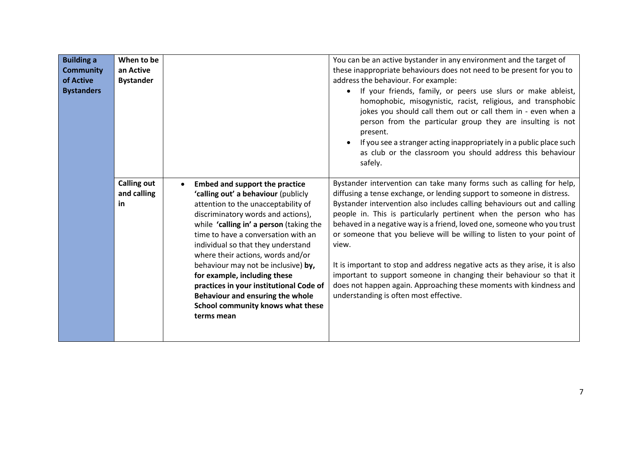| <b>Building a</b><br><b>Community</b><br>of Active<br><b>Bystanders</b> | When to be<br>an Active<br><b>Bystander</b> |                                                                                                                                                                                                                                                                                                                                                                                                                                                                                                                                 | You can be an active bystander in any environment and the target of<br>these inappropriate behaviours does not need to be present for you to<br>address the behaviour. For example:<br>If your friends, family, or peers use slurs or make ableist,<br>homophobic, misogynistic, racist, religious, and transphobic<br>jokes you should call them out or call them in - even when a<br>person from the particular group they are insulting is not<br>present.<br>If you see a stranger acting inappropriately in a public place such<br>as club or the classroom you should address this behaviour<br>safely.                                                                                                                      |
|-------------------------------------------------------------------------|---------------------------------------------|---------------------------------------------------------------------------------------------------------------------------------------------------------------------------------------------------------------------------------------------------------------------------------------------------------------------------------------------------------------------------------------------------------------------------------------------------------------------------------------------------------------------------------|------------------------------------------------------------------------------------------------------------------------------------------------------------------------------------------------------------------------------------------------------------------------------------------------------------------------------------------------------------------------------------------------------------------------------------------------------------------------------------------------------------------------------------------------------------------------------------------------------------------------------------------------------------------------------------------------------------------------------------|
|                                                                         | <b>Calling out</b><br>and calling<br>in     | <b>Embed and support the practice</b><br>'calling out' a behaviour (publicly<br>attention to the unacceptability of<br>discriminatory words and actions),<br>while 'calling in' a person (taking the<br>time to have a conversation with an<br>individual so that they understand<br>where their actions, words and/or<br>behaviour may not be inclusive) by,<br>for example, including these<br>practices in your institutional Code of<br>Behaviour and ensuring the whole<br>School community knows what these<br>terms mean | Bystander intervention can take many forms such as calling for help,<br>diffusing a tense exchange, or lending support to someone in distress.<br>Bystander intervention also includes calling behaviours out and calling<br>people in. This is particularly pertinent when the person who has<br>behaved in a negative way is a friend, loved one, someone who you trust<br>or someone that you believe will be willing to listen to your point of<br>view.<br>It is important to stop and address negative acts as they arise, it is also<br>important to support someone in changing their behaviour so that it<br>does not happen again. Approaching these moments with kindness and<br>understanding is often most effective. |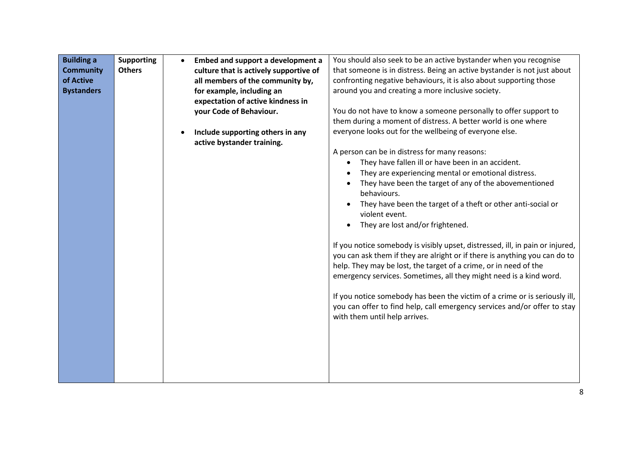| <b>Building a</b> | <b>Supporting</b> | $\bullet$ | Embed and support a development a      | You should also seek to be an active bystander when you recognise             |
|-------------------|-------------------|-----------|----------------------------------------|-------------------------------------------------------------------------------|
| <b>Community</b>  | <b>Others</b>     |           | culture that is actively supportive of | that someone is in distress. Being an active bystander is not just about      |
| of Active         |                   |           | all members of the community by,       | confronting negative behaviours, it is also about supporting those            |
| <b>Bystanders</b> |                   |           | for example, including an              | around you and creating a more inclusive society.                             |
|                   |                   |           | expectation of active kindness in      |                                                                               |
|                   |                   |           | your Code of Behaviour.                | You do not have to know a someone personally to offer support to              |
|                   |                   |           |                                        | them during a moment of distress. A better world is one where                 |
|                   |                   |           | Include supporting others in any       | everyone looks out for the wellbeing of everyone else.                        |
|                   |                   |           | active bystander training.             |                                                                               |
|                   |                   |           |                                        | A person can be in distress for many reasons:                                 |
|                   |                   |           |                                        | They have fallen ill or have been in an accident.<br>$\bullet$                |
|                   |                   |           |                                        | They are experiencing mental or emotional distress.                           |
|                   |                   |           |                                        | They have been the target of any of the abovementioned                        |
|                   |                   |           |                                        | behaviours.                                                                   |
|                   |                   |           |                                        | They have been the target of a theft or other anti-social or                  |
|                   |                   |           |                                        | violent event.                                                                |
|                   |                   |           |                                        | They are lost and/or frightened.                                              |
|                   |                   |           |                                        | If you notice somebody is visibly upset, distressed, ill, in pain or injured, |
|                   |                   |           |                                        | you can ask them if they are alright or if there is anything you can do to    |
|                   |                   |           |                                        | help. They may be lost, the target of a crime, or in need of the              |
|                   |                   |           |                                        | emergency services. Sometimes, all they might need is a kind word.            |
|                   |                   |           |                                        |                                                                               |
|                   |                   |           |                                        | If you notice somebody has been the victim of a crime or is seriously ill,    |
|                   |                   |           |                                        | you can offer to find help, call emergency services and/or offer to stay      |
|                   |                   |           |                                        | with them until help arrives.                                                 |
|                   |                   |           |                                        |                                                                               |
|                   |                   |           |                                        |                                                                               |
|                   |                   |           |                                        |                                                                               |
|                   |                   |           |                                        |                                                                               |
|                   |                   |           |                                        |                                                                               |
|                   |                   |           |                                        |                                                                               |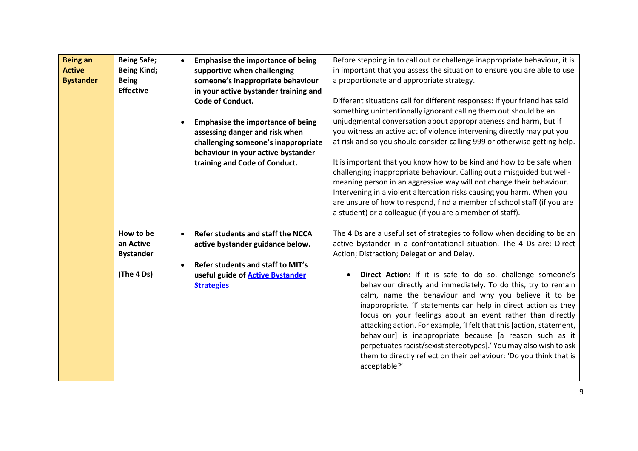| <b>Being an</b><br><b>Active</b><br><b>Bystander</b> | <b>Being Safe;</b><br><b>Being Kind;</b><br><b>Being</b><br><b>Effective</b> | $\bullet$ | <b>Emphasise the importance of being</b><br>supportive when challenging<br>someone's inappropriate behaviour<br>in your active bystander training and<br>Code of Conduct.<br><b>Emphasise the importance of being</b><br>assessing danger and risk when<br>challenging someone's inappropriate<br>behaviour in your active bystander<br>training and Code of Conduct. | Before stepping in to call out or challenge inappropriate behaviour, it is<br>in important that you assess the situation to ensure you are able to use<br>a proportionate and appropriate strategy.<br>Different situations call for different responses: if your friend has said<br>something unintentionally ignorant calling them out should be an<br>unjudgmental conversation about appropriateness and harm, but if<br>you witness an active act of violence intervening directly may put you<br>at risk and so you should consider calling 999 or otherwise getting help.<br>It is important that you know how to be kind and how to be safe when<br>challenging inappropriate behaviour. Calling out a misguided but well-<br>meaning person in an aggressive way will not change their behaviour.<br>Intervening in a violent altercation risks causing you harm. When you<br>are unsure of how to respond, find a member of school staff (if you are |
|------------------------------------------------------|------------------------------------------------------------------------------|-----------|-----------------------------------------------------------------------------------------------------------------------------------------------------------------------------------------------------------------------------------------------------------------------------------------------------------------------------------------------------------------------|----------------------------------------------------------------------------------------------------------------------------------------------------------------------------------------------------------------------------------------------------------------------------------------------------------------------------------------------------------------------------------------------------------------------------------------------------------------------------------------------------------------------------------------------------------------------------------------------------------------------------------------------------------------------------------------------------------------------------------------------------------------------------------------------------------------------------------------------------------------------------------------------------------------------------------------------------------------|
|                                                      | How to be<br>an Active<br><b>Bystander</b><br>(The 4 Ds)                     | $\bullet$ | Refer students and staff the NCCA<br>active bystander guidance below.<br>Refer students and staff to MIT's<br>useful guide of <b>Active Bystander</b><br><b>Strategies</b>                                                                                                                                                                                            | a student) or a colleague (if you are a member of staff).<br>The 4 Ds are a useful set of strategies to follow when deciding to be an<br>active bystander in a confrontational situation. The 4 Ds are: Direct<br>Action; Distraction; Delegation and Delay.<br>Direct Action: If it is safe to do so, challenge someone's<br>behaviour directly and immediately. To do this, try to remain<br>calm, name the behaviour and why you believe it to be<br>inappropriate. 'I' statements can help in direct action as they<br>focus on your feelings about an event rather than directly<br>attacking action. For example, 'I felt that this [action, statement,<br>behaviour] is inappropriate because [a reason such as it<br>perpetuates racist/sexist stereotypes].' You may also wish to ask<br>them to directly reflect on their behaviour: 'Do you think that is<br>acceptable?'                                                                           |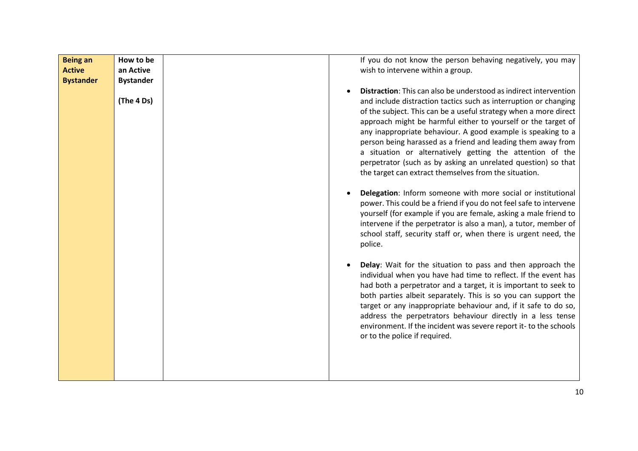| <b>Being an</b><br><b>Active</b><br><b>Bystander</b> | How to be<br>an Active<br><b>Bystander</b> | If you do not know the person behaving negatively, you may<br>wish to intervene within a group.                                                                                                                                                                                                                                                                                                                                                                                                                                                                                                          |
|------------------------------------------------------|--------------------------------------------|----------------------------------------------------------------------------------------------------------------------------------------------------------------------------------------------------------------------------------------------------------------------------------------------------------------------------------------------------------------------------------------------------------------------------------------------------------------------------------------------------------------------------------------------------------------------------------------------------------|
|                                                      | (The 4 Ds)                                 | <b>Distraction:</b> This can also be understood as indirect intervention<br>and include distraction tactics such as interruption or changing<br>of the subject. This can be a useful strategy when a more direct<br>approach might be harmful either to yourself or the target of<br>any inappropriate behaviour. A good example is speaking to a<br>person being harassed as a friend and leading them away from<br>a situation or alternatively getting the attention of the<br>perpetrator (such as by asking an unrelated question) so that<br>the target can extract themselves from the situation. |
|                                                      |                                            | Delegation: Inform someone with more social or institutional<br>power. This could be a friend if you do not feel safe to intervene<br>yourself (for example if you are female, asking a male friend to<br>intervene if the perpetrator is also a man), a tutor, member of<br>school staff, security staff or, when there is urgent need, the<br>police.                                                                                                                                                                                                                                                  |
|                                                      |                                            | Delay: Wait for the situation to pass and then approach the<br>individual when you have had time to reflect. If the event has<br>had both a perpetrator and a target, it is important to seek to<br>both parties albeit separately. This is so you can support the<br>target or any inappropriate behaviour and, if it safe to do so,<br>address the perpetrators behaviour directly in a less tense<br>environment. If the incident was severe report it- to the schools<br>or to the police if required.                                                                                               |
|                                                      |                                            |                                                                                                                                                                                                                                                                                                                                                                                                                                                                                                                                                                                                          |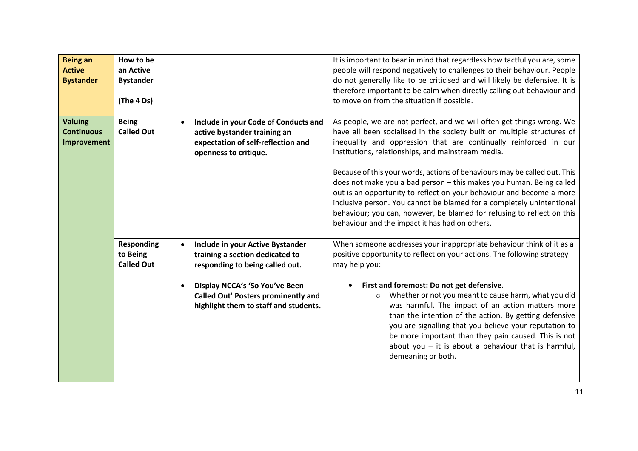| <b>Being an</b><br><b>Active</b><br><b>Bystander</b> | How to be<br>an Active<br><b>Bystander</b><br>(The 4 Ds) |                                                                                                                                                                                                                                       | It is important to bear in mind that regardless how tactful you are, some<br>people will respond negatively to challenges to their behaviour. People<br>do not generally like to be criticised and will likely be defensive. It is<br>therefore important to be calm when directly calling out behaviour and<br>to move on from the situation if possible.                                                                                                                                                                                                                                                                                                                                                  |
|------------------------------------------------------|----------------------------------------------------------|---------------------------------------------------------------------------------------------------------------------------------------------------------------------------------------------------------------------------------------|-------------------------------------------------------------------------------------------------------------------------------------------------------------------------------------------------------------------------------------------------------------------------------------------------------------------------------------------------------------------------------------------------------------------------------------------------------------------------------------------------------------------------------------------------------------------------------------------------------------------------------------------------------------------------------------------------------------|
| <b>Valuing</b><br><b>Continuous</b><br>Improvement   | <b>Being</b><br><b>Called Out</b>                        | Include in your Code of Conducts and<br>active bystander training an<br>expectation of self-reflection and<br>openness to critique.                                                                                                   | As people, we are not perfect, and we will often get things wrong. We<br>have all been socialised in the society built on multiple structures of<br>inequality and oppression that are continually reinforced in our<br>institutions, relationships, and mainstream media.<br>Because of this your words, actions of behaviours may be called out. This<br>does not make you a bad person - this makes you human. Being called<br>out is an opportunity to reflect on your behaviour and become a more<br>inclusive person. You cannot be blamed for a completely unintentional<br>behaviour; you can, however, be blamed for refusing to reflect on this<br>behaviour and the impact it has had on others. |
|                                                      | <b>Responding</b><br>to Being<br><b>Called Out</b>       | Include in your Active Bystander<br>$\bullet$<br>training a section dedicated to<br>responding to being called out.<br>Display NCCA's 'So You've Been<br>Called Out' Posters prominently and<br>highlight them to staff and students. | When someone addresses your inappropriate behaviour think of it as a<br>positive opportunity to reflect on your actions. The following strategy<br>may help you:<br>First and foremost: Do not get defensive.<br>Whether or not you meant to cause harm, what you did<br>$\circ$<br>was harmful. The impact of an action matters more<br>than the intention of the action. By getting defensive<br>you are signalling that you believe your reputation to<br>be more important than they pain caused. This is not<br>about you $-$ it is about a behaviour that is harmful,<br>demeaning or both.                                                                                                           |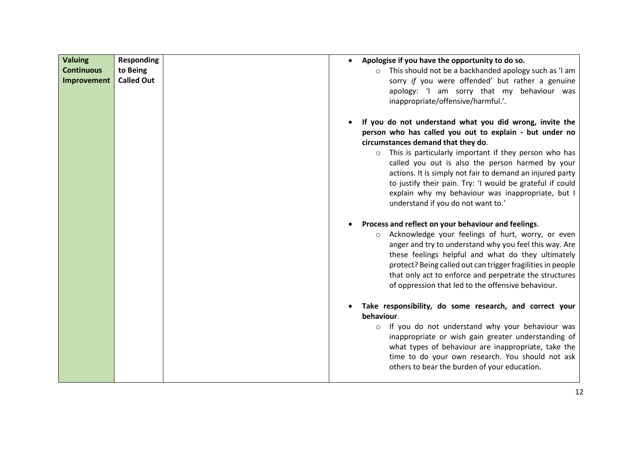| <b>Valuing</b><br><b>Continuous</b><br>Improvement | <b>Responding</b><br>to Being<br><b>Called Out</b> | Apologise if you have the opportunity to do so.<br>$\bullet$<br>This should not be a backhanded apology such as 'I am<br>$\circ$<br>sorry if you were offended' but rather a genuine<br>apology: 'I am sorry that my behaviour was<br>inappropriate/offensive/harmful.'.                                                                                                                                                                                                                     |  |  |  |  |
|----------------------------------------------------|----------------------------------------------------|----------------------------------------------------------------------------------------------------------------------------------------------------------------------------------------------------------------------------------------------------------------------------------------------------------------------------------------------------------------------------------------------------------------------------------------------------------------------------------------------|--|--|--|--|
|                                                    |                                                    | If you do not understand what you did wrong, invite the<br>person who has called you out to explain - but under no<br>circumstances demand that they do.<br>o This is particularly important if they person who has<br>called you out is also the person harmed by your<br>actions. It is simply not fair to demand an injured party<br>to justify their pain. Try: 'I would be grateful if could<br>explain why my behaviour was inappropriate, but I<br>understand if you do not want to.' |  |  |  |  |
|                                                    |                                                    | Process and reflect on your behaviour and feelings.<br>Acknowledge your feelings of hurt, worry, or even<br>$\circ$<br>anger and try to understand why you feel this way. Are<br>these feelings helpful and what do they ultimately<br>protect? Being called out can trigger fragilities in people<br>that only act to enforce and perpetrate the structures<br>of oppression that led to the offensive behaviour.                                                                           |  |  |  |  |
|                                                    |                                                    | Take responsibility, do some research, and correct your<br>behaviour.<br>If you do not understand why your behaviour was<br>$\circ$<br>inappropriate or wish gain greater understanding of<br>what types of behaviour are inappropriate, take the<br>time to do your own research. You should not ask<br>others to bear the burden of your education.                                                                                                                                        |  |  |  |  |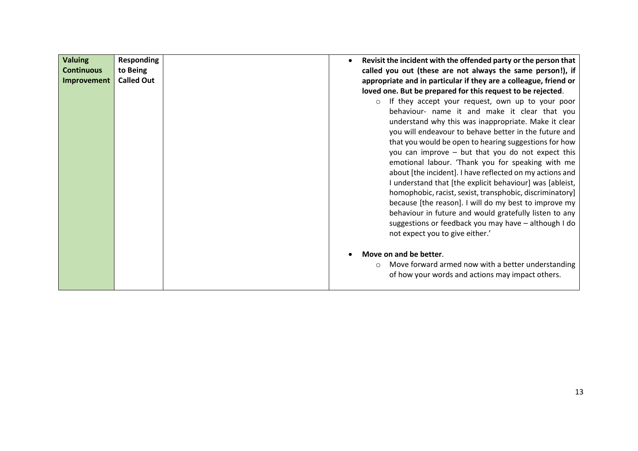| <b>Valuing</b>    | <b>Responding</b> |  | Revisit the incident with the offended party or the person that  |
|-------------------|-------------------|--|------------------------------------------------------------------|
| <b>Continuous</b> | to Being          |  | called you out (these are not always the same person!), if       |
|                   | <b>Called Out</b> |  |                                                                  |
| Improvement       |                   |  | appropriate and in particular if they are a colleague, friend or |
|                   |                   |  | loved one. But be prepared for this request to be rejected.      |
|                   |                   |  | If they accept your request, own up to your poor<br>$\circ$      |
|                   |                   |  | behaviour- name it and make it clear that you                    |
|                   |                   |  | understand why this was inappropriate. Make it clear             |
|                   |                   |  | you will endeavour to behave better in the future and            |
|                   |                   |  | that you would be open to hearing suggestions for how            |
|                   |                   |  | you can improve - but that you do not expect this                |
|                   |                   |  | emotional labour. 'Thank you for speaking with me                |
|                   |                   |  |                                                                  |
|                   |                   |  | about [the incident]. I have reflected on my actions and         |
|                   |                   |  | I understand that [the explicit behaviour] was [ableist,         |
|                   |                   |  | homophobic, racist, sexist, transphobic, discriminatory]         |
|                   |                   |  | because [the reason]. I will do my best to improve my            |
|                   |                   |  | behaviour in future and would gratefully listen to any           |
|                   |                   |  | suggestions or feedback you may have - although I do             |
|                   |                   |  | not expect you to give either.'                                  |
|                   |                   |  |                                                                  |
|                   |                   |  | Move on and be better.                                           |
|                   |                   |  |                                                                  |
|                   |                   |  | Move forward armed now with a better understanding<br>$\circ$    |
|                   |                   |  | of how your words and actions may impact others.                 |
|                   |                   |  |                                                                  |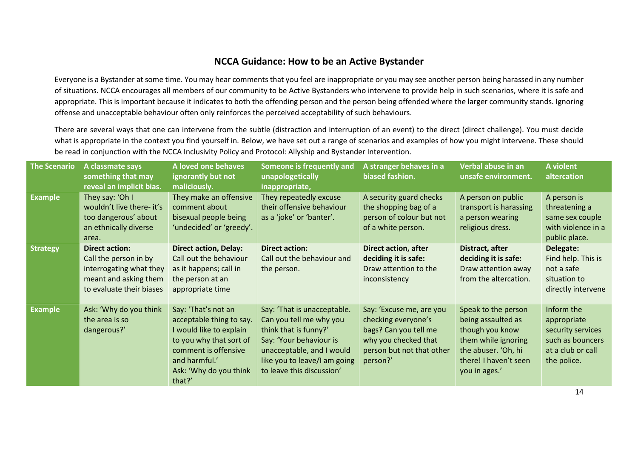#### **NCCA Guidance: How to be an Active Bystander**

Everyone is a Bystander at some time. You may hear comments that you feel are inappropriate or you may see another person being harassed in any number of situations. NCCA encourages all members of our community to be Active Bystanders who intervene to provide help in such scenarios, where it is safe and appropriate. This is important because it indicates to both the offending person and the person being offended where the larger community stands. Ignoring offense and unacceptable behaviour often only reinforces the perceived acceptability of such behaviours.

There are several ways that one can intervene from the subtle (distraction and interruption of an event) to the direct (direct challenge). You must decide what is appropriate in the context you find yourself in. Below, we have set out a range of scenarios and examples of how you might intervene. These should be read in conjunction with the NCCA Inclusivity Policy and Protocol: Allyship and Bystander Intervention.

<span id="page-13-0"></span>

| <b>The Scenario</b> | A classmate says<br>something that may<br>reveal an implicit bias.                                                             | A loved one behaves<br>ignorantly but not<br>maliciously.                                                                                                                          | Someone is frequently and<br>unapologetically<br>inappropriate,                                                                                                                                      | A stranger behaves in a<br>biased fashion.                                                                                                | Verbal abuse in an<br>unsafe environment.                                                                                                            | A violent<br>altercation                                                                               |
|---------------------|--------------------------------------------------------------------------------------------------------------------------------|------------------------------------------------------------------------------------------------------------------------------------------------------------------------------------|------------------------------------------------------------------------------------------------------------------------------------------------------------------------------------------------------|-------------------------------------------------------------------------------------------------------------------------------------------|------------------------------------------------------------------------------------------------------------------------------------------------------|--------------------------------------------------------------------------------------------------------|
| <b>Example</b>      | They say: 'Oh I<br>wouldn't live there- it's<br>too dangerous' about<br>an ethnically diverse<br>area.                         | They make an offensive<br>comment about<br>bisexual people being<br>'undecided' or 'greedy'.                                                                                       | They repeatedly excuse<br>their offensive behaviour<br>as a 'joke' or 'banter'.                                                                                                                      | A security guard checks<br>the shopping bag of a<br>person of colour but not<br>of a white person.                                        | A person on public<br>transport is harassing<br>a person wearing<br>religious dress.                                                                 | A person is<br>threatening a<br>same sex couple<br>with violence in a<br>public place.                 |
| <b>Strategy</b>     | <b>Direct action:</b><br>Call the person in by<br>interrogating what they<br>meant and asking them<br>to evaluate their biases | <b>Direct action, Delay:</b><br>Call out the behaviour<br>as it happens; call in<br>the person at an<br>appropriate time                                                           | <b>Direct action:</b><br>Call out the behaviour and<br>the person.                                                                                                                                   | <b>Direct action, after</b><br>deciding it is safe:<br>Draw attention to the<br>inconsistency                                             | Distract, after<br>deciding it is safe:<br>Draw attention away<br>from the altercation.                                                              | Delegate:<br>Find help. This is<br>not a safe<br>situation to<br>directly intervene                    |
| <b>Example</b>      | Ask: 'Why do you think<br>the area is so<br>dangerous?'                                                                        | Say: 'That's not an<br>acceptable thing to say.<br>I would like to explain<br>to you why that sort of<br>comment is offensive<br>and harmful.'<br>Ask: 'Why do you think<br>that?' | Say: 'That is unacceptable.<br>Can you tell me why you<br>think that is funny?'<br>Say: 'Your behaviour is<br>unacceptable, and I would<br>like you to leave/I am going<br>to leave this discussion' | Say: 'Excuse me, are you<br>checking everyone's<br>bags? Can you tell me<br>why you checked that<br>person but not that other<br>person?' | Speak to the person<br>being assaulted as<br>though you know<br>them while ignoring<br>the abuser. 'Oh, hi<br>there! I haven't seen<br>you in ages.' | Inform the<br>appropriate<br>security services<br>such as bouncers<br>at a club or call<br>the police. |